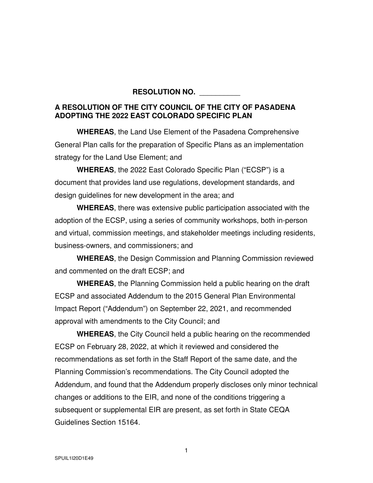## **RESOLUTION NO.** \_\_\_\_\_\_\_\_\_\_

## **A RESOLUTION OF THE CITY COUNCIL OF THE CITY OF PASADENA ADOPTING THE 2022 EAST COLORADO SPECIFIC PLAN**

**WHEREAS**, the Land Use Element of the Pasadena Comprehensive General Plan calls for the preparation of Specific Plans as an implementation strategy for the Land Use Element; and

**WHEREAS**, the 2022 East Colorado Specific Plan ("ECSP") is a document that provides land use regulations, development standards, and design guidelines for new development in the area; and

**WHEREAS**, there was extensive public participation associated with the adoption of the ECSP, using a series of community workshops, both in-person and virtual, commission meetings, and stakeholder meetings including residents, business-owners, and commissioners; and

**WHEREAS**, the Design Commission and Planning Commission reviewed and commented on the draft ECSP; and

**WHEREAS**, the Planning Commission held a public hearing on the draft ECSP and associated Addendum to the 2015 General Plan Environmental Impact Report ("Addendum") on September 22, 2021, and recommended approval with amendments to the City Council; and

**WHEREAS**, the City Council held a public hearing on the recommended ECSP on February 28, 2022, at which it reviewed and considered the recommendations as set forth in the Staff Report of the same date, and the Planning Commission's recommendations. The City Council adopted the Addendum, and found that the Addendum properly discloses only minor technical changes or additions to the EIR, and none of the conditions triggering a subsequent or supplemental EIR are present, as set forth in State CEQA Guidelines Section 15164.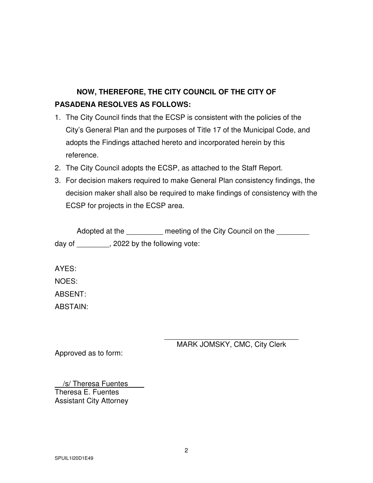# **NOW, THEREFORE, THE CITY COUNCIL OF THE CITY OF PASADENA RESOLVES AS FOLLOWS:**

- 1. The City Council finds that the ECSP is consistent with the policies of the City's General Plan and the purposes of Title 17 of the Municipal Code, and adopts the Findings attached hereto and incorporated herein by this reference.
- 2. The City Council adopts the ECSP, as attached to the Staff Report.
- 3. For decision makers required to make General Plan consistency findings, the decision maker shall also be required to make findings of consistency with the ECSP for projects in the ECSP area.

|        | Adopted at the              | meeting of the City Council on the |
|--------|-----------------------------|------------------------------------|
| day of | 2022 by the following vote: |                                    |

AYES:

NOES:

ABSENT:

ABSTAIN:

\_\_\_\_\_\_\_\_\_\_\_\_\_\_\_\_\_\_\_\_\_\_\_\_\_\_\_\_\_\_\_\_\_ MARK JOMSKY, CMC, City Clerk

Approved as to form:

/s/ Theresa Fuentes Theresa E. Fuentes Assistant City Attorney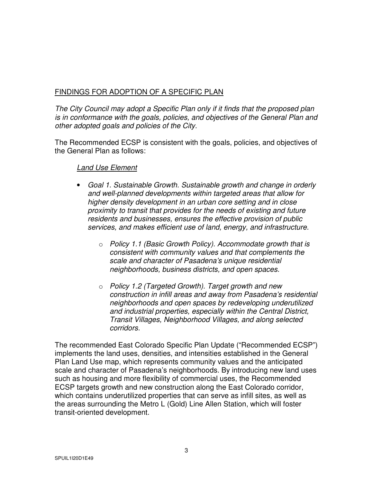## FINDINGS FOR ADOPTION OF A SPECIFIC PLAN

*The City Council may adopt a Specific Plan only if it finds that the proposed plan is in conformance with the goals, policies, and objectives of the General Plan and other adopted goals and policies of the City.* 

The Recommended ECSP is consistent with the goals, policies, and objectives of the General Plan as follows:

## *Land Use Element*

- *Goal 1. Sustainable Growth. Sustainable growth and change in orderly and well-planned developments within targeted areas that allow for higher density development in an urban core setting and in close proximity to transit that provides for the needs of existing and future residents and businesses, ensures the effective provision of public services, and makes efficient use of land, energy, and infrastructure.* 
	- o *Policy 1.1 (Basic Growth Policy). Accommodate growth that is consistent with community values and that complements the scale and character of Pasadena's unique residential neighborhoods, business districts, and open spaces.*
	- o *Policy 1.2 (Targeted Growth). Target growth and new construction in infill areas and away from Pasadena's residential neighborhoods and open spaces by redeveloping underutilized and industrial properties, especially within the Central District, Transit Villages, Neighborhood Villages, and along selected corridors.*

The recommended East Colorado Specific Plan Update ("Recommended ECSP") implements the land uses, densities, and intensities established in the General Plan Land Use map, which represents community values and the anticipated scale and character of Pasadena's neighborhoods. By introducing new land uses such as housing and more flexibility of commercial uses, the Recommended ECSP targets growth and new construction along the East Colorado corridor, which contains underutilized properties that can serve as infill sites, as well as the areas surrounding the Metro L (Gold) Line Allen Station, which will foster transit-oriented development.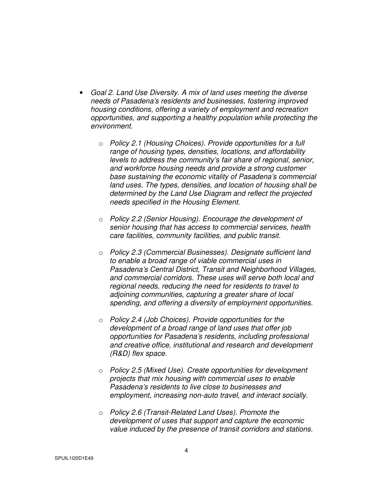- *Goal 2. Land Use Diversity. A mix of land uses meeting the diverse needs of Pasadena's residents and businesses, fostering improved housing conditions, offering a variety of employment and recreation opportunities, and supporting a healthy population while protecting the environment.* 
	- o *Policy 2.1 (Housing Choices). Provide opportunities for a full range of housing types, densities, locations, and affordability levels to address the community's fair share of regional, senior, and workforce housing needs and provide a strong customer base sustaining the economic vitality of Pasadena's commercial land uses. The types, densities, and location of housing shall be determined by the Land Use Diagram and reflect the projected needs specified in the Housing Element.*
	- o *Policy 2.2 (Senior Housing). Encourage the development of senior housing that has access to commercial services, health care facilities, community facilities, and public transit.*
	- o *Policy 2.3 (Commercial Businesses). Designate sufficient land to enable a broad range of viable commercial uses in Pasadena's Central District, Transit and Neighborhood Villages, and commercial corridors. These uses will serve both local and regional needs, reducing the need for residents to travel to adjoining communities, capturing a greater share of local spending, and offering a diversity of employment opportunities.*
	- o *Policy 2.4 (Job Choices). Provide opportunities for the development of a broad range of land uses that offer job opportunities for Pasadena's residents, including professional and creative office, institutional and research and development (R&D) flex space.*
	- o *Policy 2.5 (Mixed Use). Create opportunities for development projects that mix housing with commercial uses to enable Pasadena's residents to live close to businesses and employment, increasing non-auto travel, and interact socially.*
	- o *Policy 2.6 (Transit-Related Land Uses). Promote the development of uses that support and capture the economic value induced by the presence of transit corridors and stations.*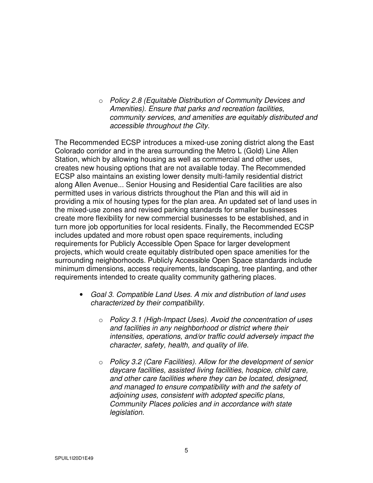o *Policy 2.8 (Equitable Distribution of Community Devices and Amenities). Ensure that parks and recreation facilities, community services, and amenities are equitably distributed and accessible throughout the City.* 

The Recommended ECSP introduces a mixed-use zoning district along the East Colorado corridor and in the area surrounding the Metro L (Gold) Line Allen Station, which by allowing housing as well as commercial and other uses, creates new housing options that are not available today. The Recommended ECSP also maintains an existing lower density multi-family residential district along Allen Avenue... Senior Housing and Residential Care facilities are also permitted uses in various districts throughout the Plan and this will aid in providing a mix of housing types for the plan area. An updated set of land uses in the mixed-use zones and revised parking standards for smaller businesses create more flexibility for new commercial businesses to be established, and in turn more job opportunities for local residents. Finally, the Recommended ECSP includes updated and more robust open space requirements, including requirements for Publicly Accessible Open Space for larger development projects, which would create equitably distributed open space amenities for the surrounding neighborhoods. Publicly Accessible Open Space standards include minimum dimensions, access requirements, landscaping, tree planting, and other requirements intended to create quality community gathering places.

- *Goal 3. Compatible Land Uses. A mix and distribution of land uses characterized by their compatibility.* 
	- o *Policy 3.1 (High-Impact Uses). Avoid the concentration of uses and facilities in any neighborhood or district where their intensities, operations, and/or traffic could adversely impact the character, safety, health, and quality of life.*
	- o *Policy 3.2 (Care Facilities). Allow for the development of senior daycare facilities, assisted living facilities, hospice, child care, and other care facilities where they can be located, designed, and managed to ensure compatibility with and the safety of adjoining uses, consistent with adopted specific plans, Community Places policies and in accordance with state legislation.*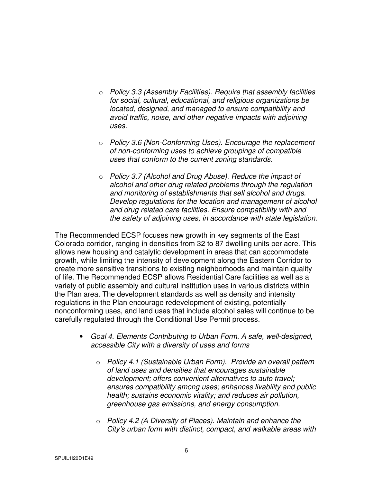- o *Policy 3.3 (Assembly Facilities). Require that assembly facilities for social, cultural, educational, and religious organizations be located, designed, and managed to ensure compatibility and avoid traffic, noise, and other negative impacts with adjoining uses.*
- o *Policy 3.6 (Non-Conforming Uses). Encourage the replacement of non-conforming uses to achieve groupings of compatible uses that conform to the current zoning standards.*
- o *Policy 3.7 (Alcohol and Drug Abuse). Reduce the impact of alcohol and other drug related problems through the regulation and monitoring of establishments that sell alcohol and drugs. Develop regulations for the location and management of alcohol and drug related care facilities. Ensure compatibility with and the safety of adjoining uses, in accordance with state legislation.*

The Recommended ECSP focuses new growth in key segments of the East Colorado corridor, ranging in densities from 32 to 87 dwelling units per acre. This allows new housing and catalytic development in areas that can accommodate growth, while limiting the intensity of development along the Eastern Corridor to create more sensitive transitions to existing neighborhoods and maintain quality of life. The Recommended ECSP allows Residential Care facilities as well as a variety of public assembly and cultural institution uses in various districts within the Plan area. The development standards as well as density and intensity regulations in the Plan encourage redevelopment of existing, potentially nonconforming uses, and land uses that include alcohol sales will continue to be carefully regulated through the Conditional Use Permit process.

- *Goal 4. Elements Contributing to Urban Form. A safe, well-designed, accessible City with a diversity of uses and forms* 
	- o *Policy 4.1 (Sustainable Urban Form). Provide an overall pattern of land uses and densities that encourages sustainable development; offers convenient alternatives to auto travel; ensures compatibility among uses; enhances livability and public health; sustains economic vitality; and reduces air pollution, greenhouse gas emissions, and energy consumption.*
	- o *Policy 4.2 (A Diversity of Places). Maintain and enhance the City's urban form with distinct, compact, and walkable areas with*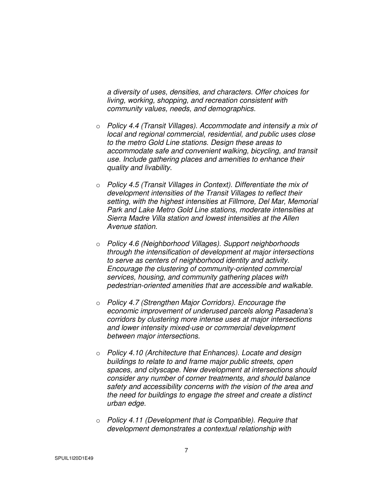*a diversity of uses, densities, and characters. Offer choices for living, working, shopping, and recreation consistent with community values, needs, and demographics.* 

- o *Policy 4.4 (Transit Villages). Accommodate and intensify a mix of local and regional commercial, residential, and public uses close to the metro Gold Line stations. Design these areas to accommodate safe and convenient walking, bicycling, and transit use. Include gathering places and amenities to enhance their quality and livability.*
- o *Policy 4.5 (Transit Villages in Context). Differentiate the mix of development intensities of the Transit Villages to reflect their setting, with the highest intensities at Fillmore, Del Mar, Memorial Park and Lake Metro Gold Line stations, moderate intensities at Sierra Madre Villa station and lowest intensities at the Allen Avenue station.*
- o *Policy 4.6 (Neighborhood Villages). Support neighborhoods through the intensification of development at major intersections to serve as centers of neighborhood identity and activity. Encourage the clustering of community-oriented commercial services, housing, and community gathering places with pedestrian-oriented amenities that are accessible and walkable.*
- o *Policy 4.7 (Strengthen Major Corridors). Encourage the economic improvement of underused parcels along Pasadena's corridors by clustering more intense uses at major intersections and lower intensity mixed-use or commercial development between major intersections.*
- o *Policy 4.10 (Architecture that Enhances). Locate and design buildings to relate to and frame major public streets, open spaces, and cityscape. New development at intersections should consider any number of corner treatments, and should balance safety and accessibility concerns with the vision of the area and the need for buildings to engage the street and create a distinct urban edge.*
- o *Policy 4.11 (Development that is Compatible). Require that development demonstrates a contextual relationship with*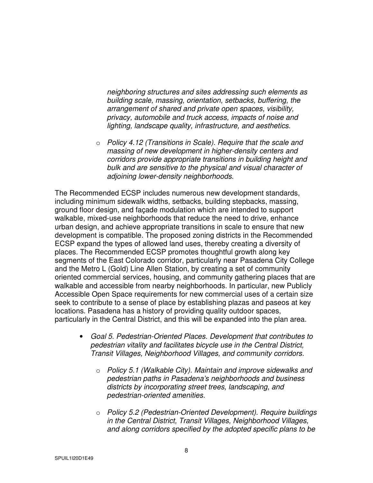*neighboring structures and sites addressing such elements as building scale, massing, orientation, setbacks, buffering, the arrangement of shared and private open spaces, visibility, privacy, automobile and truck access, impacts of noise and lighting, landscape quality, infrastructure, and aesthetics.* 

o *Policy 4.12 (Transitions in Scale). Require that the scale and massing of new development in higher-density centers and corridors provide appropriate transitions in building height and bulk and are sensitive to the physical and visual character of adjoining lower-density neighborhoods.* 

The Recommended ECSP includes numerous new development standards, including minimum sidewalk widths, setbacks, building stepbacks, massing, ground floor design, and façade modulation which are intended to support walkable, mixed-use neighborhoods that reduce the need to drive, enhance urban design, and achieve appropriate transitions in scale to ensure that new development is compatible. The proposed zoning districts in the Recommended ECSP expand the types of allowed land uses, thereby creating a diversity of places. The Recommended ECSP promotes thoughtful growth along key segments of the East Colorado corridor, particularly near Pasadena City College and the Metro L (Gold) Line Allen Station, by creating a set of community oriented commercial services, housing, and community gathering places that are walkable and accessible from nearby neighborhoods. In particular, new Publicly Accessible Open Space requirements for new commercial uses of a certain size seek to contribute to a sense of place by establishing plazas and paseos at key locations. Pasadena has a history of providing quality outdoor spaces, particularly in the Central District, and this will be expanded into the plan area.

- *Goal 5. Pedestrian-Oriented Places. Development that contributes to pedestrian vitality and facilitates bicycle use in the Central District, Transit Villages, Neighborhood Villages, and community corridors.* 
	- o *Policy 5.1 (Walkable City). Maintain and improve sidewalks and pedestrian paths in Pasadena's neighborhoods and business districts by incorporating street trees, landscaping, and pedestrian-oriented amenities.*
	- o *Policy 5.2 (Pedestrian-Oriented Development). Require buildings in the Central District, Transit Villages, Neighborhood Villages, and along corridors specified by the adopted specific plans to be*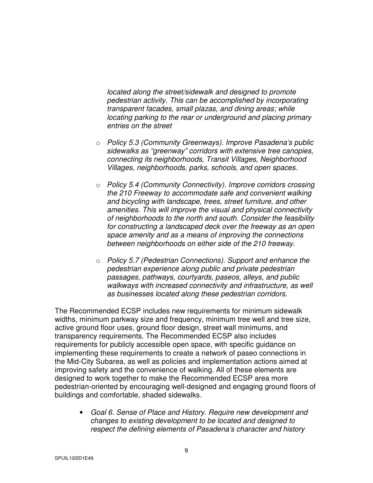*located along the street/sidewalk and designed to promote pedestrian activity. This can be accomplished by incorporating transparent facades, small plazas, and dining areas; while locating parking to the rear or underground and placing primary entries on the street* 

- o *Policy 5.3 (Community Greenways). Improve Pasadena's public sidewalks as "greenway" corridors with extensive tree canopies, connecting its neighborhoods, Transit Villages, Neighborhood Villages, neighborhoods, parks, schools, and open spaces.*
- o *Policy 5.4 (Community Connectivity). Improve corridors crossing the 210 Freeway to accommodate safe and convenient walking and bicycling with landscape, trees, street furniture, and other amenities. This will improve the visual and physical connectivity of neighborhoods to the north and south. Consider the feasibility for constructing a landscaped deck over the freeway as an open space amenity and as a means of improving the connections between neighborhoods on either side of the 210 freeway.*
- o *Policy 5.7 (Pedestrian Connections). Support and enhance the pedestrian experience along public and private pedestrian passages, pathways, courtyards, paseos, alleys, and public walkways with increased connectivity and infrastructure, as well as businesses located along these pedestrian corridors.*

The Recommended ECSP includes new requirements for minimum sidewalk widths, minimum parkway size and frequency, minimum tree well and tree size, active ground floor uses, ground floor design, street wall minimums, and transparency requirements. The Recommended ECSP also includes requirements for publicly accessible open space, with specific guidance on implementing these requirements to create a network of paseo connections in the Mid-City Subarea, as well as policies and implementation actions aimed at improving safety and the convenience of walking. All of these elements are designed to work together to make the Recommended ECSP area more pedestrian-oriented by encouraging well-designed and engaging ground floors of buildings and comfortable, shaded sidewalks.

• *Goal 6. Sense of Place and History. Require new development and changes to existing development to be located and designed to respect the defining elements of Pasadena's character and history*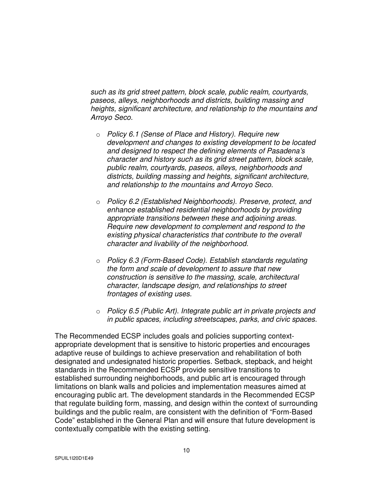*such as its grid street pattern, block scale, public realm, courtyards, paseos, alleys, neighborhoods and districts, building massing and heights, significant architecture, and relationship to the mountains and Arroyo Seco.* 

- o *Policy 6.1 (Sense of Place and History). Require new development and changes to existing development to be located and designed to respect the defining elements of Pasadena's character and history such as its grid street pattern, block scale, public realm, courtyards, paseos, alleys, neighborhoods and districts, building massing and heights, significant architecture, and relationship to the mountains and Arroyo Seco.*
- o *Policy 6.2 (Established Neighborhoods). Preserve, protect, and enhance established residential neighborhoods by providing appropriate transitions between these and adjoining areas. Require new development to complement and respond to the existing physical characteristics that contribute to the overall character and livability of the neighborhood.*
- o *Policy 6.3 (Form-Based Code). Establish standards regulating the form and scale of development to assure that new construction is sensitive to the massing, scale, architectural character, landscape design, and relationships to street frontages of existing uses.*
- o *Policy 6.5 (Public Art). Integrate public art in private projects and in public spaces, including streetscapes, parks, and civic spaces.*

The Recommended ECSP includes goals and policies supporting contextappropriate development that is sensitive to historic properties and encourages adaptive reuse of buildings to achieve preservation and rehabilitation of both designated and undesignated historic properties. Setback, stepback, and height standards in the Recommended ECSP provide sensitive transitions to established surrounding neighborhoods, and public art is encouraged through limitations on blank walls and policies and implementation measures aimed at encouraging public art. The development standards in the Recommended ECSP that regulate building form, massing, and design within the context of surrounding buildings and the public realm, are consistent with the definition of "Form-Based Code" established in the General Plan and will ensure that future development is contextually compatible with the existing setting.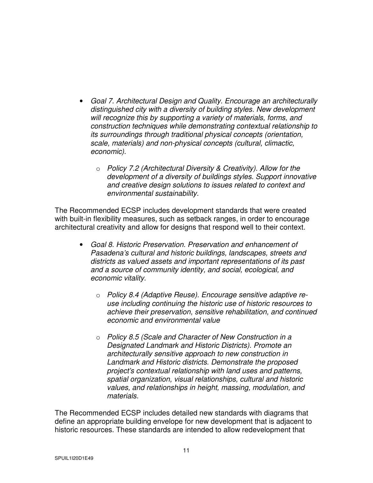- *Goal 7. Architectural Design and Quality. Encourage an architecturally distinguished city with a diversity of building styles. New development will recognize this by supporting a variety of materials, forms, and construction techniques while demonstrating contextual relationship to its surroundings through traditional physical concepts (orientation, scale, materials) and non-physical concepts (cultural, climactic, economic).* 
	- o *Policy 7.2 (Architectural Diversity & Creativity). Allow for the development of a diversity of buildings styles. Support innovative and creative design solutions to issues related to context and environmental sustainability.*

The Recommended ECSP includes development standards that were created with built-in flexibility measures, such as setback ranges, in order to encourage architectural creativity and allow for designs that respond well to their context.

- *Goal 8. Historic Preservation. Preservation and enhancement of Pasadena's cultural and historic buildings, landscapes, streets and districts as valued assets and important representations of its past and a source of community identity, and social, ecological, and economic vitality.* 
	- o *Policy 8.4 (Adaptive Reuse). Encourage sensitive adaptive reuse including continuing the historic use of historic resources to achieve their preservation, sensitive rehabilitation, and continued economic and environmental value*
	- o *Policy 8.5 (Scale and Character of New Construction in a Designated Landmark and Historic Districts). Promote an architecturally sensitive approach to new construction in Landmark and Historic districts. Demonstrate the proposed project's contextual relationship with land uses and patterns, spatial organization, visual relationships, cultural and historic values, and relationships in height, massing, modulation, and materials.*

The Recommended ECSP includes detailed new standards with diagrams that define an appropriate building envelope for new development that is adjacent to historic resources. These standards are intended to allow redevelopment that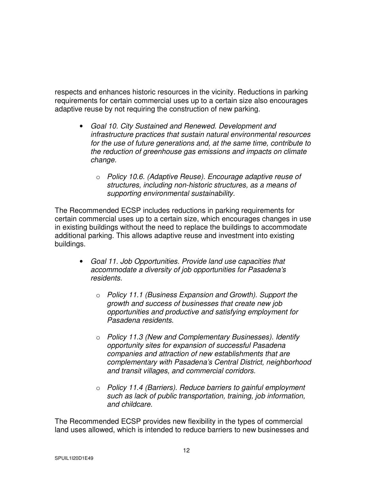respects and enhances historic resources in the vicinity. Reductions in parking requirements for certain commercial uses up to a certain size also encourages adaptive reuse by not requiring the construction of new parking.

- *Goal 10. City Sustained and Renewed. Development and infrastructure practices that sustain natural environmental resources for the use of future generations and, at the same time, contribute to the reduction of greenhouse gas emissions and impacts on climate change.* 
	- o *Policy 10.6. (Adaptive Reuse). Encourage adaptive reuse of structures, including non-historic structures, as a means of supporting environmental sustainability.*

The Recommended ECSP includes reductions in parking requirements for certain commercial uses up to a certain size, which encourages changes in use in existing buildings without the need to replace the buildings to accommodate additional parking. This allows adaptive reuse and investment into existing buildings.

- *Goal 11. Job Opportunities. Provide land use capacities that accommodate a diversity of job opportunities for Pasadena's residents.* 
	- o *Policy 11.1 (Business Expansion and Growth). Support the growth and success of businesses that create new job opportunities and productive and satisfying employment for Pasadena residents.*
	- o *Policy 11.3 (New and Complementary Businesses). Identify opportunity sites for expansion of successful Pasadena companies and attraction of new establishments that are complementary with Pasadena's Central District, neighborhood and transit villages, and commercial corridors.*
	- o *Policy 11.4 (Barriers). Reduce barriers to gainful employment such as lack of public transportation, training, job information, and childcare.*

The Recommended ECSP provides new flexibility in the types of commercial land uses allowed, which is intended to reduce barriers to new businesses and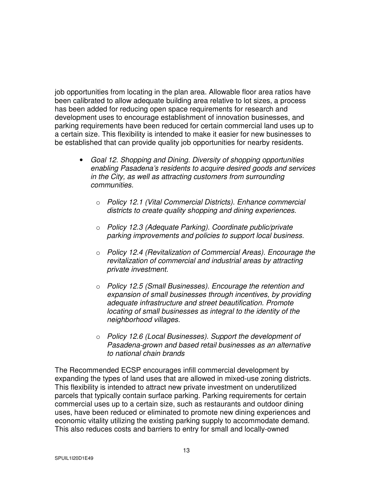job opportunities from locating in the plan area. Allowable floor area ratios have been calibrated to allow adequate building area relative to lot sizes, a process has been added for reducing open space requirements for research and development uses to encourage establishment of innovation businesses, and parking requirements have been reduced for certain commercial land uses up to a certain size. This flexibility is intended to make it easier for new businesses to be established that can provide quality job opportunities for nearby residents.

- *Goal 12. Shopping and Dining. Diversity of shopping opportunities enabling Pasadena's residents to acquire desired goods and services in the City, as well as attracting customers from surrounding communities.* 
	- o *Policy 12.1 (Vital Commercial Districts). Enhance commercial districts to create quality shopping and dining experiences.*
	- o *Policy 12.3 (Adequate Parking). Coordinate public/private parking improvements and policies to support local business.*
	- o *Policy 12.4 (Revitalization of Commercial Areas). Encourage the revitalization of commercial and industrial areas by attracting private investment.*
	- o *Policy 12.5 (Small Businesses). Encourage the retention and expansion of small businesses through incentives, by providing adequate infrastructure and street beautification. Promote locating of small businesses as integral to the identity of the neighborhood villages.*
	- o *Policy 12.6 (Local Businesses). Support the development of Pasadena-grown and based retail businesses as an alternative to national chain brands*

The Recommended ECSP encourages infill commercial development by expanding the types of land uses that are allowed in mixed-use zoning districts. This flexibility is intended to attract new private investment on underutilized parcels that typically contain surface parking. Parking requirements for certain commercial uses up to a certain size, such as restaurants and outdoor dining uses, have been reduced or eliminated to promote new dining experiences and economic vitality utilizing the existing parking supply to accommodate demand. This also reduces costs and barriers to entry for small and locally-owned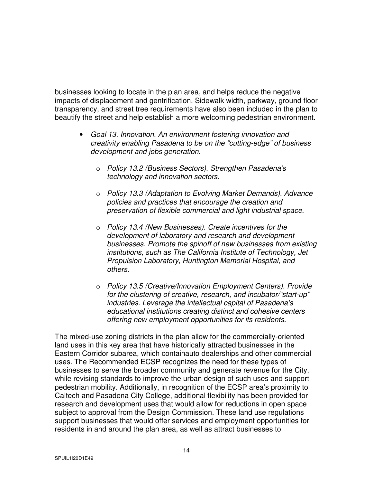businesses looking to locate in the plan area, and helps reduce the negative impacts of displacement and gentrification. Sidewalk width, parkway, ground floor transparency, and street tree requirements have also been included in the plan to beautify the street and help establish a more welcoming pedestrian environment.

- *Goal 13. Innovation. An environment fostering innovation and creativity enabling Pasadena to be on the "cutting-edge" of business development and jobs generation.* 
	- o *Policy 13.2 (Business Sectors). Strengthen Pasadena's technology and innovation sectors.*
	- o *Policy 13.3 (Adaptation to Evolving Market Demands). Advance policies and practices that encourage the creation and preservation of flexible commercial and light industrial space.*
	- o *Policy 13.4 (New Businesses). Create incentives for the development of laboratory and research and development businesses. Promote the spinoff of new businesses from existing institutions, such as The California Institute of Technology, Jet Propulsion Laboratory, Huntington Memorial Hospital, and others.*
	- o *Policy 13.5 (Creative/Innovation Employment Centers). Provide for the clustering of creative, research, and incubator/"start-up" industries. Leverage the intellectual capital of Pasadena's educational institutions creating distinct and cohesive centers offering new employment opportunities for its residents.*

The mixed-use zoning districts in the plan allow for the commercially-oriented land uses in this key area that have historically attracted businesses in the Eastern Corridor subarea, which containauto dealerships and other commercial uses. The Recommended ECSP recognizes the need for these types of businesses to serve the broader community and generate revenue for the City, while revising standards to improve the urban design of such uses and support pedestrian mobility. Additionally, in recognition of the ECSP area's proximity to Caltech and Pasadena City College, additional flexibility has been provided for research and development uses that would allow for reductions in open space subject to approval from the Design Commission. These land use regulations support businesses that would offer services and employment opportunities for residents in and around the plan area, as well as attract businesses to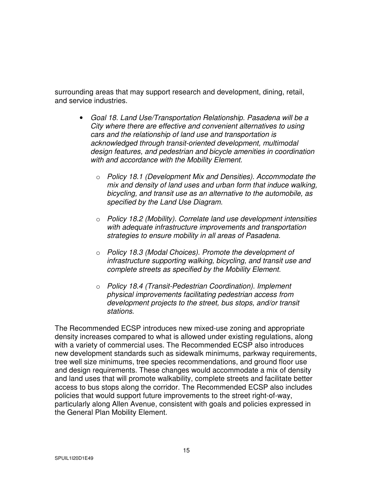surrounding areas that may support research and development, dining, retail, and service industries.

- *Goal 18. Land Use/Transportation Relationship. Pasadena will be a City where there are effective and convenient alternatives to using cars and the relationship of land use and transportation is acknowledged through transit-oriented development, multimodal design features, and pedestrian and bicycle amenities in coordination with and accordance with the Mobility Element.* 
	- o *Policy 18.1 (Development Mix and Densities). Accommodate the mix and density of land uses and urban form that induce walking, bicycling, and transit use as an alternative to the automobile, as specified by the Land Use Diagram.*
	- o *Policy 18.2 (Mobility). Correlate land use development intensities with adequate infrastructure improvements and transportation strategies to ensure mobility in all areas of Pasadena.*
	- o *Policy 18.3 (Modal Choices). Promote the development of infrastructure supporting walking, bicycling, and transit use and complete streets as specified by the Mobility Element.*
	- o *Policy 18.4 (Transit-Pedestrian Coordination). Implement physical improvements facilitating pedestrian access from development projects to the street, bus stops, and/or transit stations.*

The Recommended ECSP introduces new mixed-use zoning and appropriate density increases compared to what is allowed under existing regulations, along with a variety of commercial uses. The Recommended ECSP also introduces new development standards such as sidewalk minimums, parkway requirements, tree well size minimums, tree species recommendations, and ground floor use and design requirements. These changes would accommodate a mix of density and land uses that will promote walkability, complete streets and facilitate better access to bus stops along the corridor. The Recommended ECSP also includes policies that would support future improvements to the street right-of-way, particularly along Allen Avenue, consistent with goals and policies expressed in the General Plan Mobility Element.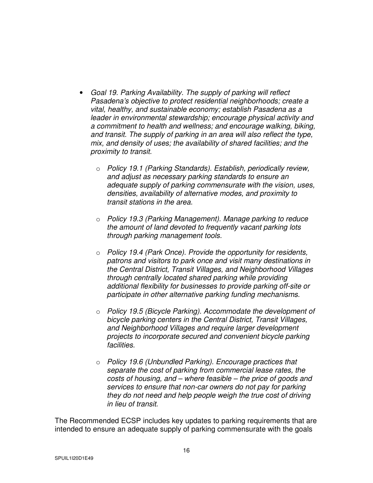- *Goal 19. Parking Availability. The supply of parking will reflect Pasadena's objective to protect residential neighborhoods; create a vital, healthy, and sustainable economy; establish Pasadena as a leader in environmental stewardship; encourage physical activity and a commitment to health and wellness; and encourage walking, biking, and transit. The supply of parking in an area will also reflect the type, mix, and density of uses; the availability of shared facilities; and the proximity to transit.* 
	- o *Policy 19.1 (Parking Standards). Establish, periodically review, and adjust as necessary parking standards to ensure an adequate supply of parking commensurate with the vision, uses, densities, availability of alternative modes, and proximity to transit stations in the area.*
	- o *Policy 19.3 (Parking Management). Manage parking to reduce the amount of land devoted to frequently vacant parking lots through parking management tools.*
	- o *Policy 19.4 (Park Once). Provide the opportunity for residents, patrons and visitors to park once and visit many destinations in the Central District, Transit Villages, and Neighborhood Villages through centrally located shared parking while providing additional flexibility for businesses to provide parking off-site or participate in other alternative parking funding mechanisms.*
	- o *Policy 19.5 (Bicycle Parking). Accommodate the development of bicycle parking centers in the Central District, Transit Villages, and Neighborhood Villages and require larger development projects to incorporate secured and convenient bicycle parking facilities.*
	- o *Policy 19.6 (Unbundled Parking). Encourage practices that separate the cost of parking from commercial lease rates, the costs of housing, and – where feasible – the price of goods and services to ensure that non-car owners do not pay for parking they do not need and help people weigh the true cost of driving in lieu of transit.*

The Recommended ECSP includes key updates to parking requirements that are intended to ensure an adequate supply of parking commensurate with the goals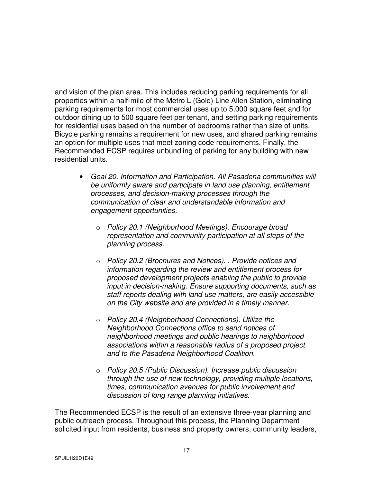and vision of the plan area. This includes reducing parking requirements for all properties within a half-mile of the Metro L (Gold) Line Allen Station, eliminating parking requirements for most commercial uses up to 5,000 square feet and for outdoor dining up to 500 square feet per tenant, and setting parking requirements for residential uses based on the number of bedrooms rather than size of units. Bicycle parking remains a requirement for new uses, and shared parking remains an option for multiple uses that meet zoning code requirements. Finally, the Recommended ECSP requires unbundling of parking for any building with new residential units.

- *Goal 20. Information and Participation. All Pasadena communities will be uniformly aware and participate in land use planning, entitlement processes, and decision-making processes through the communication of clear and understandable information and engagement opportunities.* 
	- o *Policy 20.1 (Neighborhood Meetings). Encourage broad representation and community participation at all steps of the planning process.*
	- o *Policy 20.2 (Brochures and Notices). . Provide notices and information regarding the review and entitlement process for proposed development projects enabling the public to provide input in decision-making. Ensure supporting documents, such as staff reports dealing with land use matters, are easily accessible on the City website and are provided in a timely manner.*
	- o *Policy 20.4 (Neighborhood Connections). Utilize the Neighborhood Connections office to send notices of neighborhood meetings and public hearings to neighborhood associations within a reasonable radius of a proposed project and to the Pasadena Neighborhood Coalition.*
	- o *Policy 20.5 (Public Discussion). Increase public discussion through the use of new technology, providing multiple locations, times, communication avenues for public involvement and discussion of long range planning initiatives.*

The Recommended ECSP is the result of an extensive three-year planning and public outreach process. Throughout this process, the Planning Department solicited input from residents, business and property owners, community leaders,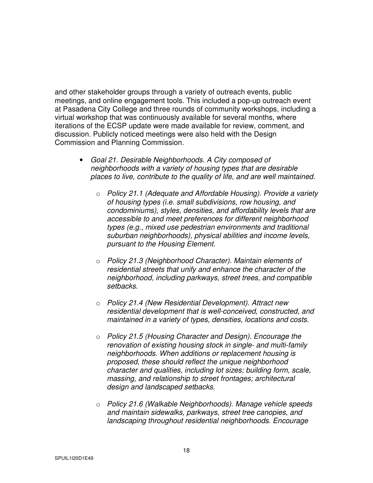and other stakeholder groups through a variety of outreach events, public meetings, and online engagement tools. This included a pop-up outreach event at Pasadena City College and three rounds of community workshops, including a virtual workshop that was continuously available for several months, where iterations of the ECSP update were made available for review, comment, and discussion. Publicly noticed meetings were also held with the Design Commission and Planning Commission.

- *Goal 21. Desirable Neighborhoods. A City composed of neighborhoods with a variety of housing types that are desirable places to live, contribute to the quality of life, and are well maintained.* 
	- o *Policy 21.1 (Adequate and Affordable Housing). Provide a variety of housing types (i.e. small subdivisions, row housing, and condominiums), styles, densities, and affordability levels that are accessible to and meet preferences for different neighborhood types (e.g., mixed use pedestrian environments and traditional suburban neighborhoods), physical abilities and income levels, pursuant to the Housing Element.*
	- o *Policy 21.3 (Neighborhood Character). Maintain elements of residential streets that unify and enhance the character of the neighborhood, including parkways, street trees, and compatible setbacks.*
	- o *Policy 21.4 (New Residential Development). Attract new residential development that is well-conceived, constructed, and maintained in a variety of types, densities, locations and costs.*
	- o *Policy 21.5 (Housing Character and Design). Encourage the renovation of existing housing stock in single- and multi-family neighborhoods. When additions or replacement housing is proposed, these should reflect the unique neighborhood character and qualities, including lot sizes; building form, scale, massing, and relationship to street frontages; architectural design and landscaped setbacks.*
	- o *Policy 21.6 (Walkable Neighborhoods). Manage vehicle speeds and maintain sidewalks, parkways, street tree canopies, and landscaping throughout residential neighborhoods. Encourage*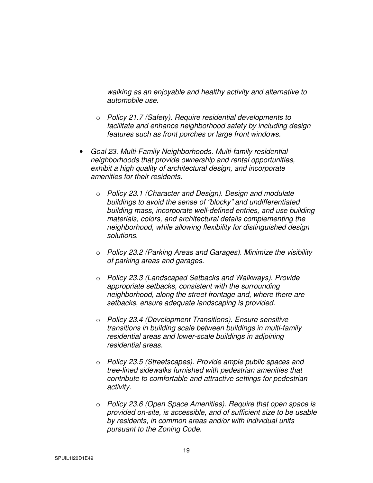*walking as an enjoyable and healthy activity and alternative to automobile use.* 

- o *Policy 21.7 (Safety). Require residential developments to facilitate and enhance neighborhood safety by including design features such as front porches or large front windows.*
- *Goal 23. Multi-Family Neighborhoods. Multi-family residential neighborhoods that provide ownership and rental opportunities, exhibit a high quality of architectural design, and incorporate amenities for their residents.* 
	- o *Policy 23.1 (Character and Design). Design and modulate buildings to avoid the sense of "blocky" and undifferentiated building mass, incorporate well-defined entries, and use building materials, colors, and architectural details complementing the neighborhood, while allowing flexibility for distinguished design solutions.*
	- o *Policy 23.2 (Parking Areas and Garages). Minimize the visibility of parking areas and garages.*
	- o *Policy 23.3 (Landscaped Setbacks and Walkways). Provide appropriate setbacks, consistent with the surrounding neighborhood, along the street frontage and, where there are setbacks, ensure adequate landscaping is provided.*
	- o *Policy 23.4 (Development Transitions). Ensure sensitive transitions in building scale between buildings in multi-family residential areas and lower-scale buildings in adjoining residential areas.*
	- o *Policy 23.5 (Streetscapes). Provide ample public spaces and tree-lined sidewalks furnished with pedestrian amenities that contribute to comfortable and attractive settings for pedestrian activity.*
	- o *Policy 23.6 (Open Space Amenities). Require that open space is provided on-site, is accessible, and of sufficient size to be usable by residents, in common areas and/or with individual units pursuant to the Zoning Code.*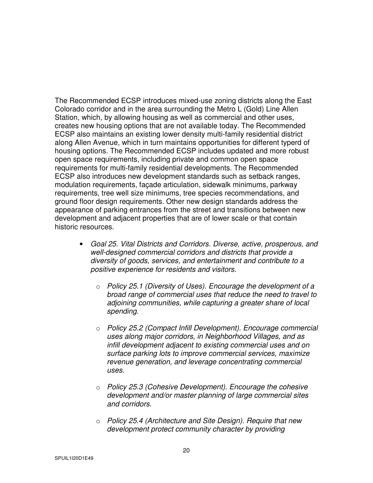The Recommended ECSP introduces mixed-use zoning districts along the East Colorado corridor and in the area surrounding the Metro L (Gold) Line Allen Station, which, by allowing housing as well as commercial and other uses, creates new housing options that are not available today. The Recommended ECSP also maintains an existing lower density multi-family residential district along Allen Avenue, which in turn maintains opportunities for different typerd of housing options. The Recommended ECSP includes updated and more robust open space requirements, including private and common open space requirements for multi-family residential developments. The Recommended ECSP also introduces new development standards such as setback ranges, modulation requirements, façade articulation, sidewalk minimums, parkway requirements, tree well size minimums, tree species recommendations, and ground floor design requirements. Other new design standards address the appearance of parking entrances from the street and transitions between new development and adjacent properties that are of lower scale or that contain historic resources.

- *Goal 25. Vital Districts and Corridors. Diverse, active, prosperous, and well-designed commercial corridors and districts that provide a diversity of goods, services, and entertainment and contribute to a positive experience for residents and visitors.* 
	- o *Policy 25.1 (Diversity of Uses). Encourage the development of a broad range of commercial uses that reduce the need to travel to adjoining communities, while capturing a greater share of local spending.*
	- o *Policy 25.2 (Compact Infill Development). Encourage commercial uses along major corridors, in Neighborhood Villages, and as infill development adjacent to existing commercial uses and on surface parking lots to improve commercial services, maximize revenue generation, and leverage concentrating commercial uses.*
	- o *Policy 25.3 (Cohesive Development). Encourage the cohesive development and/or master planning of large commercial sites and corridors.*
	- o *Policy 25.4 (Architecture and Site Design). Require that new development protect community character by providing*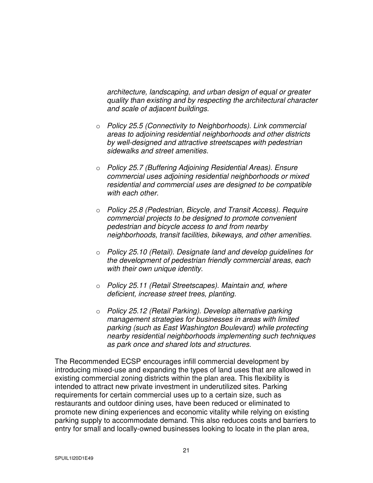*architecture, landscaping, and urban design of equal or greater quality than existing and by respecting the architectural character and scale of adjacent buildings.* 

- o *Policy 25.5 (Connectivity to Neighborhoods). Link commercial areas to adjoining residential neighborhoods and other districts by well-designed and attractive streetscapes with pedestrian sidewalks and street amenities.*
- o *Policy 25.7 (Buffering Adjoining Residential Areas). Ensure commercial uses adjoining residential neighborhoods or mixed residential and commercial uses are designed to be compatible with each other.*
- o *Policy 25.8 (Pedestrian, Bicycle, and Transit Access). Require commercial projects to be designed to promote convenient pedestrian and bicycle access to and from nearby neighborhoods, transit facilities, bikeways, and other amenities.*
- o *Policy 25.10 (Retail). Designate land and develop guidelines for the development of pedestrian friendly commercial areas, each with their own unique identity.*
- o *Policy 25.11 (Retail Streetscapes). Maintain and, where deficient, increase street trees, planting.*
- o *Policy 25.12 (Retail Parking). Develop alternative parking management strategies for businesses in areas with limited parking (such as East Washington Boulevard) while protecting nearby residential neighborhoods implementing such techniques as park once and shared lots and structures.*

The Recommended ECSP encourages infill commercial development by introducing mixed-use and expanding the types of land uses that are allowed in existing commercial zoning districts within the plan area. This flexibility is intended to attract new private investment in underutilized sites. Parking requirements for certain commercial uses up to a certain size, such as restaurants and outdoor dining uses, have been reduced or eliminated to promote new dining experiences and economic vitality while relying on existing parking supply to accommodate demand. This also reduces costs and barriers to entry for small and locally-owned businesses looking to locate in the plan area,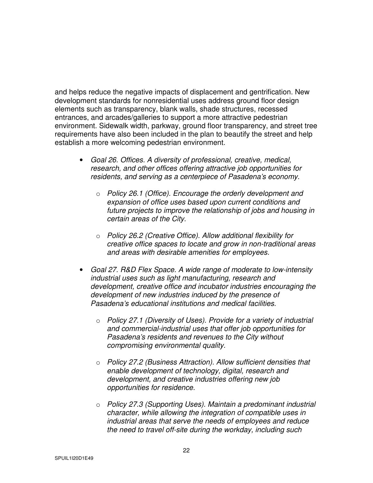and helps reduce the negative impacts of displacement and gentrification. New development standards for nonresidential uses address ground floor design elements such as transparency, blank walls, shade structures, recessed entrances, and arcades/galleries to support a more attractive pedestrian environment. Sidewalk width, parkway, ground floor transparency, and street tree requirements have also been included in the plan to beautify the street and help establish a more welcoming pedestrian environment.

- *Goal 26. Offices. A diversity of professional, creative, medical, research, and other offices offering attractive job opportunities for residents, and serving as a centerpiece of Pasadena's economy.* 
	- o *Policy 26.1 (Office). Encourage the orderly development and expansion of office uses based upon current conditions and future projects to improve the relationship of jobs and housing in certain areas of the City.*
	- o *Policy 26.2 (Creative Office). Allow additional flexibility for creative office spaces to locate and grow in non-traditional areas and areas with desirable amenities for employees.*
- *Goal 27. R&D Flex Space. A wide range of moderate to low-intensity industrial uses such as light manufacturing, research and development, creative office and incubator industries encouraging the development of new industries induced by the presence of Pasadena's educational institutions and medical facilities.* 
	- o *Policy 27.1 (Diversity of Uses). Provide for a variety of industrial and commercial-industrial uses that offer job opportunities for Pasadena's residents and revenues to the City without compromising environmental quality.*
	- o *Policy 27.2 (Business Attraction). Allow sufficient densities that enable development of technology, digital, research and development, and creative industries offering new job opportunities for residence.*
	- o *Policy 27.3 (Supporting Uses). Maintain a predominant industrial character, while allowing the integration of compatible uses in industrial areas that serve the needs of employees and reduce the need to travel off-site during the workday, including such*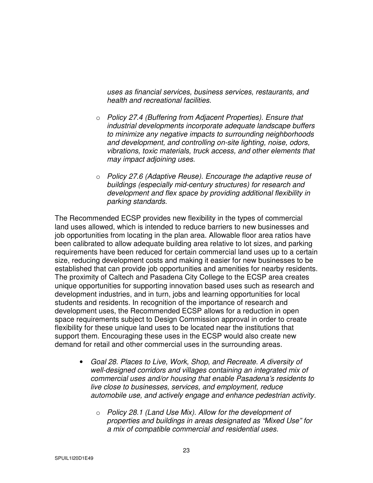*uses as financial services, business services, restaurants, and health and recreational facilities.* 

- o *Policy 27.4 (Buffering from Adjacent Properties). Ensure that industrial developments incorporate adequate landscape buffers to minimize any negative impacts to surrounding neighborhoods and development, and controlling on-site lighting, noise, odors, vibrations, toxic materials, truck access, and other elements that may impact adjoining uses.*
- o *Policy 27.6 (Adaptive Reuse). Encourage the adaptive reuse of buildings (especially mid-century structures) for research and development and flex space by providing additional flexibility in parking standards.*

The Recommended ECSP provides new flexibility in the types of commercial land uses allowed, which is intended to reduce barriers to new businesses and job opportunities from locating in the plan area. Allowable floor area ratios have been calibrated to allow adequate building area relative to lot sizes, and parking requirements have been reduced for certain commercial land uses up to a certain size, reducing development costs and making it easier for new businesses to be established that can provide job opportunities and amenities for nearby residents. The proximity of Caltech and Pasadena City College to the ECSP area creates unique opportunities for supporting innovation based uses such as research and development industries, and in turn, jobs and learning opportunities for local students and residents. In recognition of the importance of research and development uses, the Recommended ECSP allows for a reduction in open space requirements subject to Design Commission approval in order to create flexibility for these unique land uses to be located near the institutions that support them. Encouraging these uses in the ECSP would also create new demand for retail and other commercial uses in the surrounding areas.

- *Goal 28. Places to Live, Work, Shop, and Recreate. A diversity of well-designed corridors and villages containing an integrated mix of commercial uses and/or housing that enable Pasadena's residents to live close to businesses, services, and employment, reduce automobile use, and actively engage and enhance pedestrian activity.* 
	- o *Policy 28.1 (Land Use Mix). Allow for the development of properties and buildings in areas designated as "Mixed Use" for a mix of compatible commercial and residential uses.*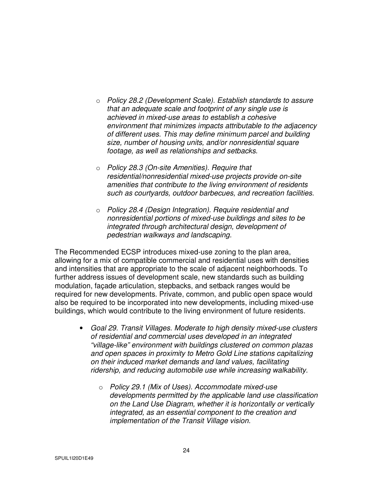- o *Policy 28.2 (Development Scale). Establish standards to assure that an adequate scale and footprint of any single use is achieved in mixed-use areas to establish a cohesive environment that minimizes impacts attributable to the adjacency of different uses. This may define minimum parcel and building size, number of housing units, and/or nonresidential square footage, as well as relationships and setbacks.*
- o *Policy 28.3 (On-site Amenities). Require that residential/nonresidential mixed-use projects provide on-site amenities that contribute to the living environment of residents such as courtyards, outdoor barbecues, and recreation facilities.*
- o *Policy 28.4 (Design Integration). Require residential and nonresidential portions of mixed-use buildings and sites to be integrated through architectural design, development of pedestrian walkways and landscaping.*

The Recommended ECSP introduces mixed-use zoning to the plan area, allowing for a mix of compatible commercial and residential uses with densities and intensities that are appropriate to the scale of adjacent neighborhoods. To further address issues of development scale, new standards such as building modulation, façade articulation, stepbacks, and setback ranges would be required for new developments. Private, common, and public open space would also be required to be incorporated into new developments, including mixed-use buildings, which would contribute to the living environment of future residents.

- *Goal 29. Transit Villages. Moderate to high density mixed-use clusters of residential and commercial uses developed in an integrated "village-like" environment with buildings clustered on common plazas and open spaces in proximity to Metro Gold Line stations capitalizing on their induced market demands and land values, facilitating ridership, and reducing automobile use while increasing walkability.* 
	- o *Policy 29.1 (Mix of Uses). Accommodate mixed-use developments permitted by the applicable land use classification on the Land Use Diagram, whether it is horizontally or vertically integrated, as an essential component to the creation and implementation of the Transit Village vision.*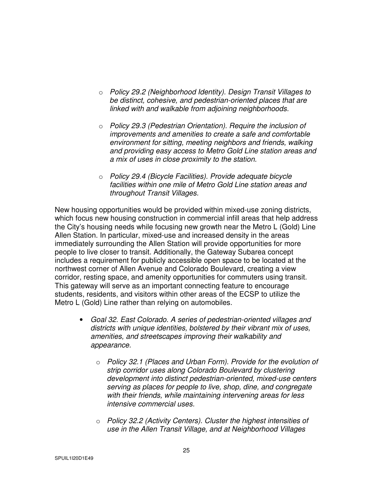- o *Policy 29.2 (Neighborhood Identity). Design Transit Villages to be distinct, cohesive, and pedestrian-oriented places that are linked with and walkable from adjoining neighborhoods.*
- o *Policy 29.3 (Pedestrian Orientation). Require the inclusion of improvements and amenities to create a safe and comfortable environment for sitting, meeting neighbors and friends, walking and providing easy access to Metro Gold Line station areas and a mix of uses in close proximity to the station.*
- o *Policy 29.4 (Bicycle Facilities). Provide adequate bicycle facilities within one mile of Metro Gold Line station areas and throughout Transit Villages.*

New housing opportunities would be provided within mixed-use zoning districts, which focus new housing construction in commercial infill areas that help address the City's housing needs while focusing new growth near the Metro L (Gold) Line Allen Station. In particular, mixed-use and increased density in the areas immediately surrounding the Allen Station will provide opportunities for more people to live closer to transit. Additionally, the Gateway Subarea concept includes a requirement for publicly accessible open space to be located at the northwest corner of Allen Avenue and Colorado Boulevard, creating a view corridor, resting space, and amenity opportunities for commuters using transit. This gateway will serve as an important connecting feature to encourage students, residents, and visitors within other areas of the ECSP to utilize the Metro L (Gold) Line rather than relying on automobiles.

- *Goal 32. East Colorado. A series of pedestrian-oriented villages and districts with unique identities, bolstered by their vibrant mix of uses, amenities, and streetscapes improving their walkability and appearance.* 
	- o *Policy 32.1 (Places and Urban Form). Provide for the evolution of strip corridor uses along Colorado Boulevard by clustering development into distinct pedestrian-oriented, mixed-use centers serving as places for people to live, shop, dine, and congregate with their friends, while maintaining intervening areas for less intensive commercial uses.*
	- o *Policy 32.2 (Activity Centers). Cluster the highest intensities of use in the Allen Transit Village, and at Neighborhood Villages*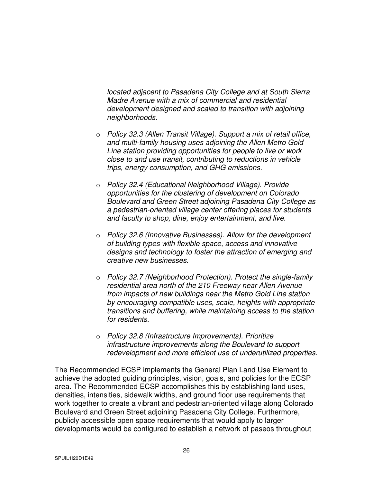*located adjacent to Pasadena City College and at South Sierra Madre Avenue with a mix of commercial and residential development designed and scaled to transition with adjoining neighborhoods.* 

- o *Policy 32.3 (Allen Transit Village). Support a mix of retail office, and multi-family housing uses adjoining the Allen Metro Gold Line station providing opportunities for people to live or work close to and use transit, contributing to reductions in vehicle trips, energy consumption, and GHG emissions.*
- o *Policy 32.4 (Educational Neighborhood Village). Provide opportunities for the clustering of development on Colorado Boulevard and Green Street adjoining Pasadena City College as a pedestrian-oriented village center offering places for students and faculty to shop, dine, enjoy entertainment, and live.*
- o *Policy 32.6 (Innovative Businesses). Allow for the development of building types with flexible space, access and innovative designs and technology to foster the attraction of emerging and creative new businesses.*
- o *Policy 32.7 (Neighborhood Protection). Protect the single-family residential area north of the 210 Freeway near Allen Avenue from impacts of new buildings near the Metro Gold Line station by encouraging compatible uses, scale, heights with appropriate transitions and buffering, while maintaining access to the station for residents.*
- o *Policy 32.8 (Infrastructure Improvements). Prioritize infrastructure improvements along the Boulevard to support redevelopment and more efficient use of underutilized properties.*

The Recommended ECSP implements the General Plan Land Use Element to achieve the adopted guiding principles, vision, goals, and policies for the ECSP area. The Recommended ECSP accomplishes this by establishing land uses, densities, intensities, sidewalk widths, and ground floor use requirements that work together to create a vibrant and pedestrian-oriented village along Colorado Boulevard and Green Street adjoining Pasadena City College. Furthermore, publicly accessible open space requirements that would apply to larger developments would be configured to establish a network of paseos throughout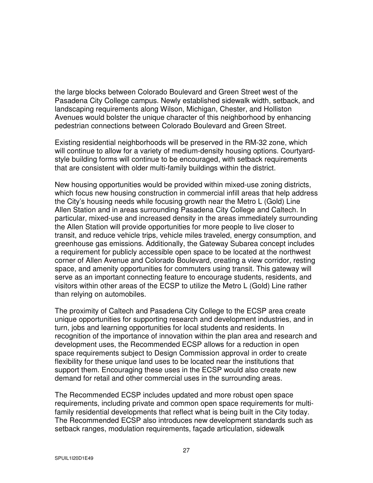the large blocks between Colorado Boulevard and Green Street west of the Pasadena City College campus. Newly established sidewalk width, setback, and landscaping requirements along Wilson, Michigan, Chester, and Holliston Avenues would bolster the unique character of this neighborhood by enhancing pedestrian connections between Colorado Boulevard and Green Street.

Existing residential neighborhoods will be preserved in the RM-32 zone, which will continue to allow for a variety of medium-density housing options. Courtyardstyle building forms will continue to be encouraged, with setback requirements that are consistent with older multi-family buildings within the district.

New housing opportunities would be provided within mixed-use zoning districts, which focus new housing construction in commercial infill areas that help address the City's housing needs while focusing growth near the Metro L (Gold) Line Allen Station and in areas surrounding Pasadena City College and Caltech. In particular, mixed-use and increased density in the areas immediately surrounding the Allen Station will provide opportunities for more people to live closer to transit, and reduce vehicle trips, vehicle miles traveled, energy consumption, and greenhouse gas emissions. Additionally, the Gateway Subarea concept includes a requirement for publicly accessible open space to be located at the northwest corner of Allen Avenue and Colorado Boulevard, creating a view corridor, resting space, and amenity opportunities for commuters using transit. This gateway will serve as an important connecting feature to encourage students, residents, and visitors within other areas of the ECSP to utilize the Metro L (Gold) Line rather than relying on automobiles.

The proximity of Caltech and Pasadena City College to the ECSP area create unique opportunities for supporting research and development industries, and in turn, jobs and learning opportunities for local students and residents. In recognition of the importance of innovation within the plan area and research and development uses, the Recommended ECSP allows for a reduction in open space requirements subject to Design Commission approval in order to create flexibility for these unique land uses to be located near the institutions that support them. Encouraging these uses in the ECSP would also create new demand for retail and other commercial uses in the surrounding areas.

The Recommended ECSP includes updated and more robust open space requirements, including private and common open space requirements for multifamily residential developments that reflect what is being built in the City today. The Recommended ECSP also introduces new development standards such as setback ranges, modulation requirements, façade articulation, sidewalk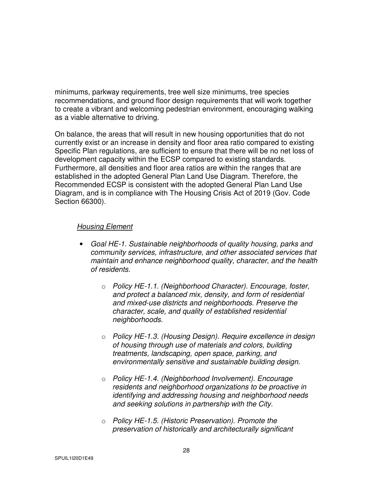minimums, parkway requirements, tree well size minimums, tree species recommendations, and ground floor design requirements that will work together to create a vibrant and welcoming pedestrian environment, encouraging walking as a viable alternative to driving.

On balance, the areas that will result in new housing opportunities that do not currently exist or an increase in density and floor area ratio compared to existing Specific Plan regulations, are sufficient to ensure that there will be no net loss of development capacity within the ECSP compared to existing standards. Furthermore, all densities and floor area ratios are within the ranges that are established in the adopted General Plan Land Use Diagram. Therefore, the Recommended ECSP is consistent with the adopted General Plan Land Use Diagram, and is in compliance with The Housing Crisis Act of 2019 (Gov. Code Section 66300).

### *Housing Element*

- *Goal HE-1. Sustainable neighborhoods of quality housing, parks and community services, infrastructure, and other associated services that maintain and enhance neighborhood quality, character, and the health of residents.* 
	- o *Policy HE-1.1. (Neighborhood Character). Encourage, foster, and protect a balanced mix, density, and form of residential and mixed-use districts and neighborhoods. Preserve the character, scale, and quality of established residential neighborhoods.*
	- o *Policy HE-1.3. (Housing Design). Require excellence in design of housing through use of materials and colors, building treatments, landscaping, open space, parking, and environmentally sensitive and sustainable building design.*
	- o *Policy HE-1.4. (Neighborhood Involvement). Encourage residents and neighborhood organizations to be proactive in identifying and addressing housing and neighborhood needs and seeking solutions in partnership with the City.*
	- o *Policy HE-1.5. (Historic Preservation). Promote the preservation of historically and architecturally significant*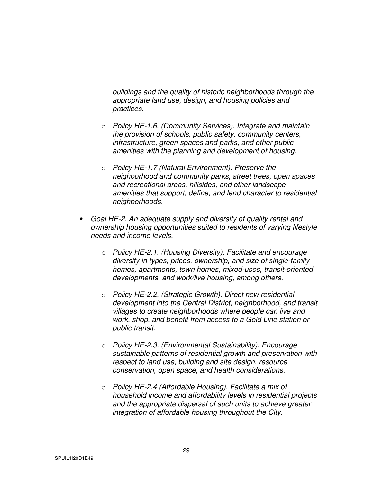*buildings and the quality of historic neighborhoods through the appropriate land use, design, and housing policies and practices.* 

- o *Policy HE-1.6. (Community Services). Integrate and maintain the provision of schools, public safety, community centers, infrastructure, green spaces and parks, and other public amenities with the planning and development of housing.*
- o *Policy HE-1.7 (Natural Environment). Preserve the neighborhood and community parks, street trees, open spaces and recreational areas, hillsides, and other landscape amenities that support, define, and lend character to residential neighborhoods.*
- *Goal HE-2. An adequate supply and diversity of quality rental and ownership housing opportunities suited to residents of varying lifestyle needs and income levels.* 
	- o *Policy HE-2.1. (Housing Diversity). Facilitate and encourage diversity in types, prices, ownership, and size of single-family homes, apartments, town homes, mixed-uses, transit-oriented developments, and work/live housing, among others.*
	- o *Policy HE-2.2. (Strategic Growth). Direct new residential development into the Central District, neighborhood, and transit villages to create neighborhoods where people can live and work, shop, and benefit from access to a Gold Line station or public transit.*
	- o *Policy HE-2.3. (Environmental Sustainability). Encourage sustainable patterns of residential growth and preservation with respect to land use, building and site design, resource conservation, open space, and health considerations.*
	- o *Policy HE-2.4 (Affordable Housing). Facilitate a mix of household income and affordability levels in residential projects and the appropriate dispersal of such units to achieve greater integration of affordable housing throughout the City.*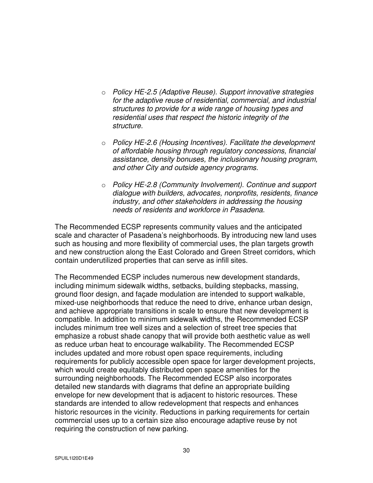- o *Policy HE-2.5 (Adaptive Reuse). Support innovative strategies for the adaptive reuse of residential, commercial, and industrial structures to provide for a wide range of housing types and residential uses that respect the historic integrity of the structure.*
- o *Policy HE-2.6 (Housing Incentives). Facilitate the development of affordable housing through regulatory concessions, financial assistance, density bonuses, the inclusionary housing program, and other City and outside agency programs.*
- o *Policy HE-2.8 (Community Involvement). Continue and support dialogue with builders, advocates, nonprofits, residents, finance industry, and other stakeholders in addressing the housing needs of residents and workforce in Pasadena.*

The Recommended ECSP represents community values and the anticipated scale and character of Pasadena's neighborhoods. By introducing new land uses such as housing and more flexibility of commercial uses, the plan targets growth and new construction along the East Colorado and Green Street corridors, which contain underutilized properties that can serve as infill sites.

The Recommended ECSP includes numerous new development standards, including minimum sidewalk widths, setbacks, building stepbacks, massing, ground floor design, and façade modulation are intended to support walkable, mixed-use neighborhoods that reduce the need to drive, enhance urban design, and achieve appropriate transitions in scale to ensure that new development is compatible. In addition to minimum sidewalk widths, the Recommended ECSP includes minimum tree well sizes and a selection of street tree species that emphasize a robust shade canopy that will provide both aesthetic value as well as reduce urban heat to encourage walkability. The Recommended ECSP includes updated and more robust open space requirements, including requirements for publicly accessible open space for larger development projects, which would create equitably distributed open space amenities for the surrounding neighborhoods. The Recommended ECSP also incorporates detailed new standards with diagrams that define an appropriate building envelope for new development that is adjacent to historic resources. These standards are intended to allow redevelopment that respects and enhances historic resources in the vicinity. Reductions in parking requirements for certain commercial uses up to a certain size also encourage adaptive reuse by not requiring the construction of new parking.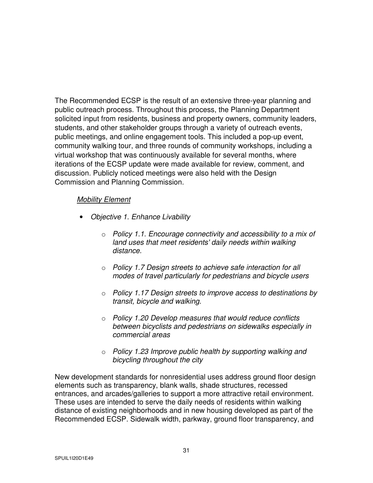The Recommended ECSP is the result of an extensive three-year planning and public outreach process. Throughout this process, the Planning Department solicited input from residents, business and property owners, community leaders, students, and other stakeholder groups through a variety of outreach events, public meetings, and online engagement tools. This included a pop-up event, community walking tour, and three rounds of community workshops, including a virtual workshop that was continuously available for several months, where iterations of the ECSP update were made available for review, comment, and discussion. Publicly noticed meetings were also held with the Design Commission and Planning Commission.

### *Mobility Element*

- *Objective 1. Enhance Livability* 
	- o *Policy 1.1. Encourage connectivity and accessibility to a mix of land uses that meet residents' daily needs within walking distance.*
	- o *Policy 1.7 Design streets to achieve safe interaction for all modes of travel particularly for pedestrians and bicycle users*
	- o *Policy 1.17 Design streets to improve access to destinations by transit, bicycle and walking.*
	- o *Policy 1.20 Develop measures that would reduce conflicts between bicyclists and pedestrians on sidewalks especially in commercial areas*
	- o *Policy 1.23 Improve public health by supporting walking and bicycling throughout the city*

New development standards for nonresidential uses address ground floor design elements such as transparency, blank walls, shade structures, recessed entrances, and arcades/galleries to support a more attractive retail environment. These uses are intended to serve the daily needs of residents within walking distance of existing neighborhoods and in new housing developed as part of the Recommended ECSP. Sidewalk width, parkway, ground floor transparency, and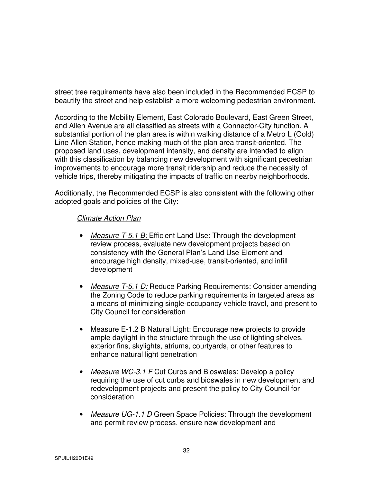street tree requirements have also been included in the Recommended ECSP to beautify the street and help establish a more welcoming pedestrian environment.

According to the Mobility Element, East Colorado Boulevard, East Green Street, and Allen Avenue are all classified as streets with a Connector-City function. A substantial portion of the plan area is within walking distance of a Metro L (Gold) Line Allen Station, hence making much of the plan area transit-oriented. The proposed land uses, development intensity, and density are intended to align with this classification by balancing new development with significant pedestrian improvements to encourage more transit ridership and reduce the necessity of vehicle trips, thereby mitigating the impacts of traffic on nearby neighborhoods.

Additionally, the Recommended ECSP is also consistent with the following other adopted goals and policies of the City:

## *Climate Action Plan*

- *Measure T-5.1 B:* Efficient Land Use: Through the development review process, evaluate new development projects based on consistency with the General Plan's Land Use Element and encourage high density, mixed-use, transit-oriented, and infill development
- *Measure T-5.1 D:* Reduce Parking Requirements: Consider amending the Zoning Code to reduce parking requirements in targeted areas as a means of minimizing single-occupancy vehicle travel, and present to City Council for consideration
- Measure E-1.2 B Natural Light: Encourage new projects to provide ample daylight in the structure through the use of lighting shelves, exterior fins, skylights, atriums, courtyards, or other features to enhance natural light penetration
- *Measure WC-3.1 F* Cut Curbs and Bioswales: Develop a policy requiring the use of cut curbs and bioswales in new development and redevelopment projects and present the policy to City Council for consideration
- *Measure UG-1.1 D* Green Space Policies: Through the development and permit review process, ensure new development and